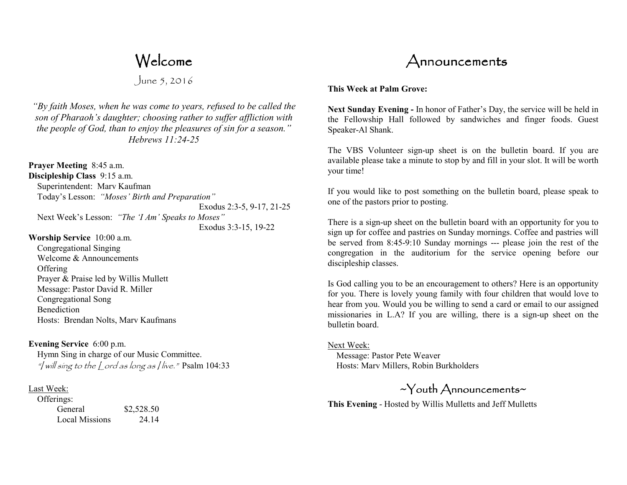# Welcome

June 5, 2016

*"By faith Moses, when he was come to years, refused to be called the son of Pharaoh's daughter; choosing rather to suffer affliction with the people of God, than to enjoy the pleasures of sin for a season." Hebrews 11:24-25* 

**Prayer Meeting** 8:45 a.m. **Discipleship Class** 9:15 a.m. Superintendent: Marv Kaufman Today's Lesson: *"Moses' Birth and Preparation"*  Exodus 2:3-5, 9-17, 21-25 Next Week's Lesson: *"The 'I Am' Speaks to Moses"*

 Exodus 3:3-15, 19-22 **Worship Service** 10:00 a.m.

 Congregational Singing Welcome & Announcements **Offering**  Prayer & Praise led by Willis Mullett Message: Pastor David R. Miller Congregational Song Benediction Hosts: Brendan Nolts, Marv Kaufmans

## **Evening Service** 6:00 p.m.

 Hymn Sing in charge of our Music Committee. "I will sing to the Lord as long as I live." Psalm 104:33

### Last Week:

| Offerings:            |            |
|-----------------------|------------|
| General               | \$2,528.50 |
| <b>Local Missions</b> | 24.14      |



#### **This Week at Palm Grove:**

**Next Sunday Evening -** In honor of Father's Day, the service will be held in the Fellowship Hall followed by sandwiches and finger foods. Guest Speaker-Al Shank.

The VBS Volunteer sign-up sheet is on the bulletin board. If you are available please take a minute to stop by and fill in your slot. It will be worth your time!

If you would like to post something on the bulletin board, please speak to one of the pastors prior to posting.

There is a sign-up sheet on the bulletin board with an opportunity for you to sign up for coffee and pastries on Sunday mornings. Coffee and pastries will be served from 8:45-9:10 Sunday mornings --- please join the rest of the congregation in the auditorium for the service opening before our discipleship classes.

Is God calling you to be an encouragement to others? Here is an opportunity for you. There is lovely young family with four children that would love to hear from you. Would you be willing to send a card or email to our assigned missionaries in L.A? If you are willing, there is a sign-up sheet on the bulletin board.

### Next Week:

 Message: Pastor Pete Weaver Hosts: Marv Millers, Robin Burkholders

~Youth Announcements~

**This Evening** - Hosted by Willis Mulletts and Jeff Mulletts